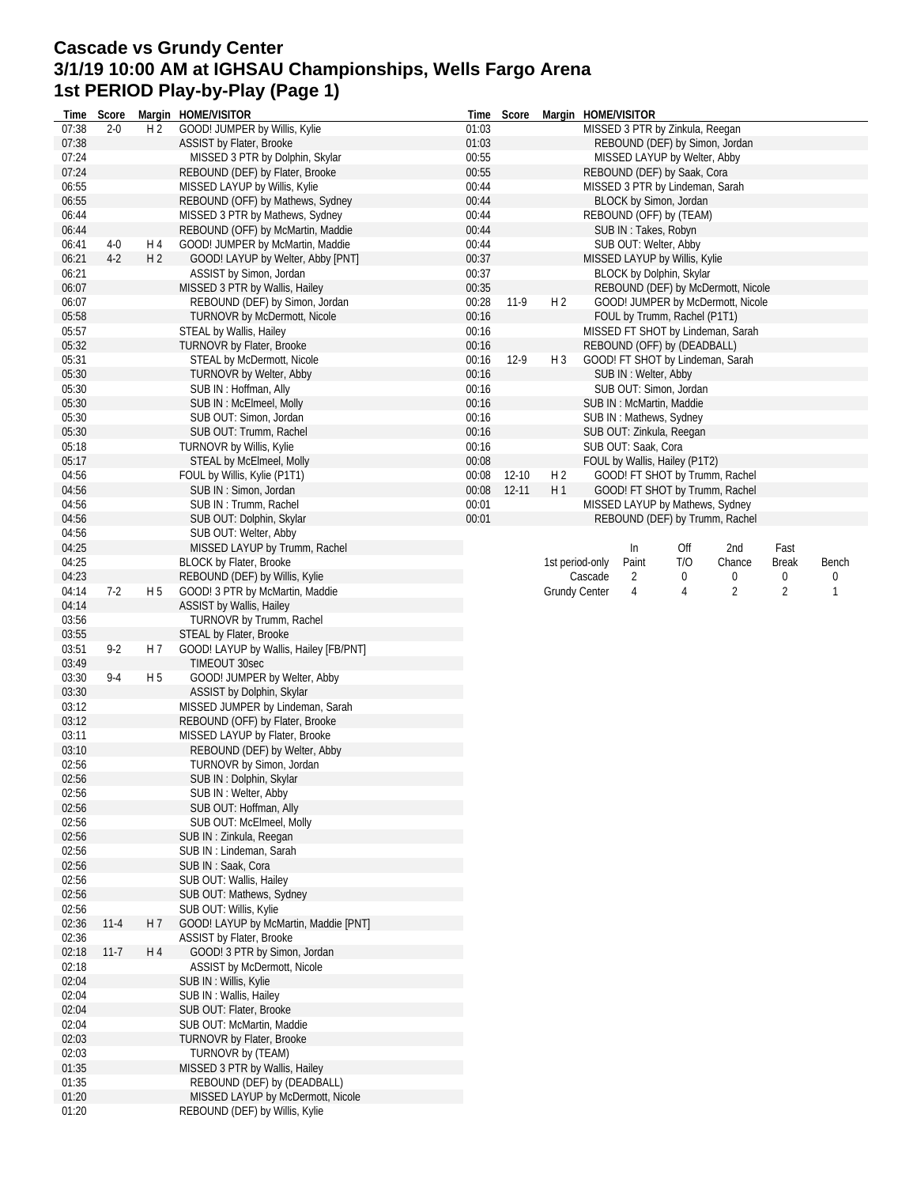## **Cascade vs Grundy Center 3/1/19 10:00 AM at IGHSAU Championships, Wells Fargo Arena 1st PERIOD Play-by-Play (Page 1)**

| Time  | Score    |                | Margin HOME/VISITOR                    | Time  | Score     |                | Margin HOME/VISITOR                                                     |
|-------|----------|----------------|----------------------------------------|-------|-----------|----------------|-------------------------------------------------------------------------|
| 07:38 | $2 - 0$  | H <sub>2</sub> | GOOD! JUMPER by Willis, Kylie          | 01:03 |           |                | MISSED 3 PTR by Zinkula, Reegan                                         |
| 07:38 |          |                | <b>ASSIST by Flater, Brooke</b>        | 01:03 |           |                | REBOUND (DEF) by Simon, Jordan                                          |
| 07:24 |          |                | MISSED 3 PTR by Dolphin, Skylar        | 00:55 |           |                | MISSED LAYUP by Welter, Abby                                            |
| 07:24 |          |                | REBOUND (DEF) by Flater, Brooke        | 00:55 |           |                | REBOUND (DEF) by Saak, Cora                                             |
| 06:55 |          |                | MISSED LAYUP by Willis, Kylie          | 00:44 |           |                | MISSED 3 PTR by Lindeman, Sarah                                         |
| 06:55 |          |                | REBOUND (OFF) by Mathews, Sydney       | 00:44 |           |                | BLOCK by Simon, Jordan                                                  |
| 06:44 |          |                | MISSED 3 PTR by Mathews, Sydney        | 00:44 |           |                | REBOUND (OFF) by (TEAM)                                                 |
| 06:44 |          |                | REBOUND (OFF) by McMartin, Maddie      | 00:44 |           |                | SUB IN: Takes, Robyn                                                    |
| 06:41 | $4-0$    | H 4            | GOOD! JUMPER by McMartin, Maddie       | 00:44 |           |                | SUB OUT: Welter, Abby                                                   |
| 06:21 | $4-2$    | H <sub>2</sub> | GOOD! LAYUP by Welter, Abby [PNT]      | 00:37 |           |                | MISSED LAYUP by Willis, Kylie                                           |
| 06:21 |          |                |                                        | 00:37 |           |                | BLOCK by Dolphin, Skylar                                                |
|       |          |                | ASSIST by Simon, Jordan                |       |           |                |                                                                         |
| 06:07 |          |                | MISSED 3 PTR by Wallis, Hailey         | 00:35 |           |                | REBOUND (DEF) by McDermott, Nicole                                      |
| 06:07 |          |                | REBOUND (DEF) by Simon, Jordan         | 00:28 | $11-9$    | H <sub>2</sub> | GOOD! JUMPER by McDermott, Nicole                                       |
| 05:58 |          |                | <b>TURNOVR by McDermott, Nicole</b>    | 00:16 |           |                | FOUL by Trumm, Rachel (P1T1)                                            |
| 05:57 |          |                | STEAL by Wallis, Hailey                | 00:16 |           |                | MISSED FT SHOT by Lindeman, Sarah                                       |
| 05:32 |          |                | <b>TURNOVR by Flater, Brooke</b>       | 00:16 |           |                | REBOUND (OFF) by (DEADBALL)                                             |
| 05:31 |          |                | STEAL by McDermott, Nicole             | 00:16 | $12-9$    | $H_3$          | GOOD! FT SHOT by Lindeman, Sarah                                        |
| 05:30 |          |                | TURNOVR by Welter, Abby                | 00:16 |           |                | SUB IN: Welter, Abby                                                    |
| 05:30 |          |                | SUB IN: Hoffman, Ally                  | 00:16 |           |                | SUB OUT: Simon, Jordan                                                  |
| 05:30 |          |                | SUB IN: McElmeel, Molly                | 00:16 |           |                | SUB IN: McMartin, Maddie                                                |
| 05:30 |          |                | SUB OUT: Simon, Jordan                 | 00:16 |           |                | SUB IN: Mathews, Sydney                                                 |
| 05:30 |          |                | SUB OUT: Trumm, Rachel                 | 00:16 |           |                | SUB OUT: Zinkula, Reegan                                                |
| 05:18 |          |                | <b>TURNOVR by Willis, Kylie</b>        | 00:16 |           |                | SUB OUT: Saak, Cora                                                     |
| 05:17 |          |                | STEAL by McElmeel, Molly               | 00:08 |           |                | FOUL by Wallis, Hailey (P1T2)                                           |
| 04:56 |          |                | FOUL by Willis, Kylie (P1T1)           | 00:08 | $12 - 10$ | H <sub>2</sub> | GOOD! FT SHOT by Trumm, Rachel                                          |
| 04:56 |          |                | SUB IN: Simon, Jordan                  | 00:08 | $12 - 11$ | H1             | GOOD! FT SHOT by Trumm, Rachel                                          |
| 04:56 |          |                | SUB IN: Trumm, Rachel                  | 00:01 |           |                | MISSED LAYUP by Mathews, Sydney                                         |
|       |          |                |                                        |       |           |                |                                                                         |
| 04:56 |          |                | SUB OUT: Dolphin, Skylar               | 00:01 |           |                | REBOUND (DEF) by Trumm, Rachel                                          |
| 04:56 |          |                | SUB OUT: Welter, Abby                  |       |           |                |                                                                         |
| 04:25 |          |                | MISSED LAYUP by Trumm, Rachel          |       |           |                | In<br>Off<br>2nd<br>Fast                                                |
| 04:25 |          |                | <b>BLOCK by Flater, Brooke</b>         |       |           |                | 1st period-only<br>Paint<br>T/O<br>Chance<br><b>Break</b><br>Bench      |
| 04:23 |          |                | REBOUND (DEF) by Willis, Kylie         |       |           |                | Cascade<br>2<br>0<br>0<br>0<br>0                                        |
| 04:14 | $7-2$    | H 5            | GOOD! 3 PTR by McMartin, Maddie        |       |           |                | $\overline{2}$<br>$\overline{2}$<br><b>Grundy Center</b><br>4<br>1<br>4 |
| 04:14 |          |                | ASSIST by Wallis, Hailey               |       |           |                |                                                                         |
| 03:56 |          |                | TURNOVR by Trumm, Rachel               |       |           |                |                                                                         |
| 03:55 |          |                | STEAL by Flater, Brooke                |       |           |                |                                                                         |
| 03:51 | $9 - 2$  | H 7            | GOOD! LAYUP by Wallis, Hailey [FB/PNT] |       |           |                |                                                                         |
| 03:49 |          |                | <b>TIMEOUT 30sec</b>                   |       |           |                |                                                                         |
| 03:30 | $9-4$    | H <sub>5</sub> | GOOD! JUMPER by Welter, Abby           |       |           |                |                                                                         |
| 03:30 |          |                | ASSIST by Dolphin, Skylar              |       |           |                |                                                                         |
| 03:12 |          |                | MISSED JUMPER by Lindeman, Sarah       |       |           |                |                                                                         |
| 03:12 |          |                | REBOUND (OFF) by Flater, Brooke        |       |           |                |                                                                         |
| 03:11 |          |                | MISSED LAYUP by Flater, Brooke         |       |           |                |                                                                         |
| 03:10 |          |                | REBOUND (DEF) by Welter, Abby          |       |           |                |                                                                         |
| 02:56 |          |                | TURNOVR by Simon, Jordan               |       |           |                |                                                                         |
|       |          |                |                                        |       |           |                |                                                                         |
| 02:56 |          |                | SUB IN: Dolphin, Skylar                |       |           |                |                                                                         |
| 02:56 |          |                | SUB IN: Welter, Abby                   |       |           |                |                                                                         |
| 02:56 |          |                | SUB OUT: Hoffman, Ally                 |       |           |                |                                                                         |
| 02:56 |          |                | SUB OUT: McElmeel, Molly               |       |           |                |                                                                         |
| 02:56 |          |                | SUB IN: Zinkula, Reegan                |       |           |                |                                                                         |
| 02:56 |          |                | SUB IN: Lindeman, Sarah                |       |           |                |                                                                         |
| 02:56 |          |                | SUB IN: Saak, Cora                     |       |           |                |                                                                         |
| 02:56 |          |                | SUB OUT: Wallis, Hailey                |       |           |                |                                                                         |
| 02:56 |          |                | SUB OUT: Mathews, Sydney               |       |           |                |                                                                         |
| 02:56 |          |                | SUB OUT: Willis, Kylie                 |       |           |                |                                                                         |
| 02:36 | $11 - 4$ | H 7            | GOOD! LAYUP by McMartin, Maddie [PNT]  |       |           |                |                                                                         |
| 02:36 |          |                | <b>ASSIST by Flater, Brooke</b>        |       |           |                |                                                                         |
| 02:18 | $11 - 7$ | H 4            | GOOD! 3 PTR by Simon, Jordan           |       |           |                |                                                                         |
| 02:18 |          |                | ASSIST by McDermott, Nicole            |       |           |                |                                                                         |
| 02:04 |          |                | SUB IN: Willis, Kylie                  |       |           |                |                                                                         |
| 02:04 |          |                | SUB IN: Wallis, Hailey                 |       |           |                |                                                                         |
| 02:04 |          |                | SUB OUT: Flater, Brooke                |       |           |                |                                                                         |
| 02:04 |          |                | SUB OUT: McMartin, Maddie              |       |           |                |                                                                         |
| 02:03 |          |                |                                        |       |           |                |                                                                         |
|       |          |                | TURNOVR by Flater, Brooke              |       |           |                |                                                                         |
| 02:03 |          |                | TURNOVR by (TEAM)                      |       |           |                |                                                                         |
| 01:35 |          |                | MISSED 3 PTR by Wallis, Hailey         |       |           |                |                                                                         |
| 01:35 |          |                | REBOUND (DEF) by (DEADBALL)            |       |           |                |                                                                         |
| 01:20 |          |                | MISSED LAYUP by McDermott, Nicole      |       |           |                |                                                                         |
| 01:20 |          |                | REBOUND (DEF) by Willis, Kylie         |       |           |                |                                                                         |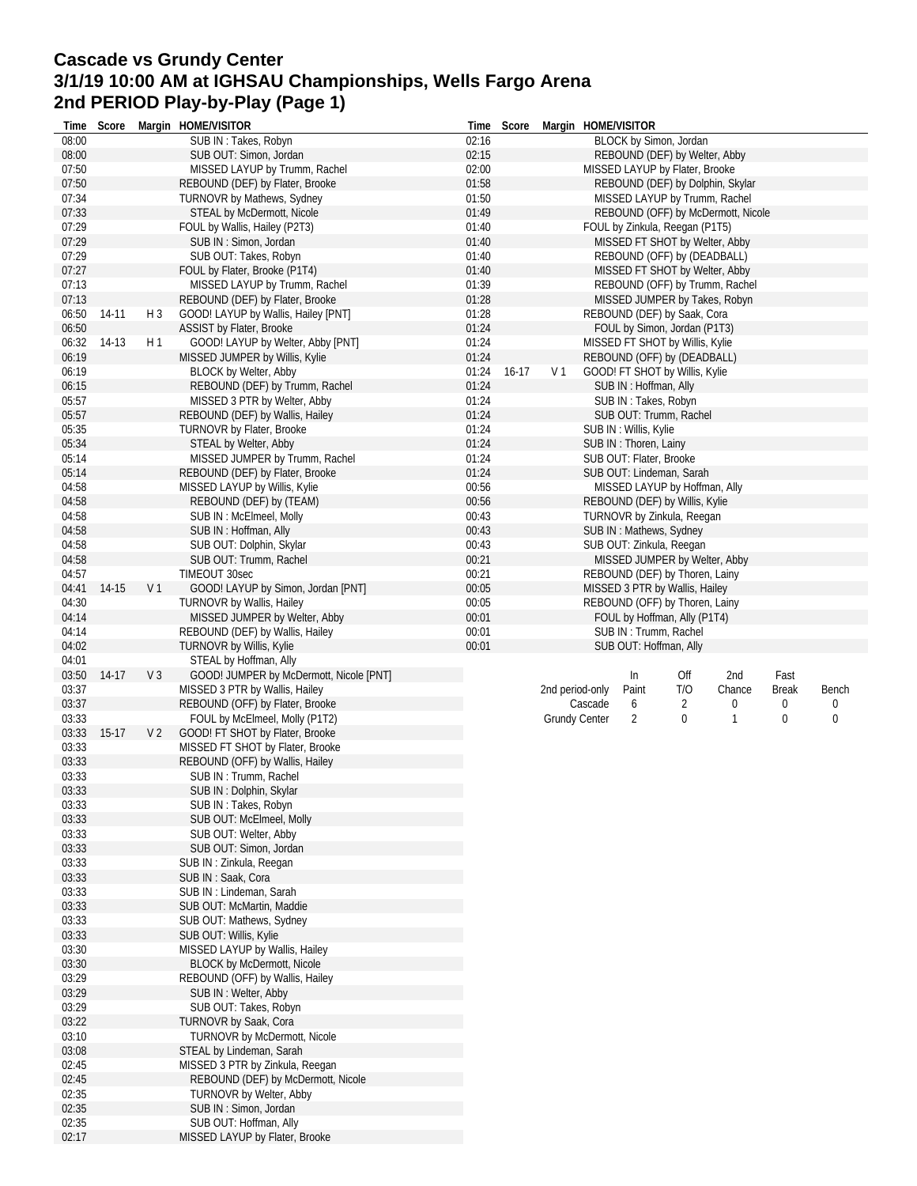## **Cascade vs Grundy Center 3/1/19 10:00 AM at IGHSAU Championships, Wells Fargo Arena 2nd PERIOD Play-by-Play (Page 1)**

| Time           | Score   |                | Margin HOME/VISITOR                                                 | Time           | Score   |                 | Margin HOME/VISITOR  |                         |                                                                |                                    |              |       |
|----------------|---------|----------------|---------------------------------------------------------------------|----------------|---------|-----------------|----------------------|-------------------------|----------------------------------------------------------------|------------------------------------|--------------|-------|
| 08:00          |         |                | SUB IN: Takes, Robyn                                                | 02:16          |         |                 |                      |                         | BLOCK by Simon, Jordan                                         |                                    |              |       |
| 08:00          |         |                | SUB OUT: Simon, Jordan                                              | 02:15          |         |                 |                      |                         | REBOUND (DEF) by Welter, Abby                                  |                                    |              |       |
| 07:50          |         |                | MISSED LAYUP by Trumm, Rachel                                       | 02:00          |         |                 |                      |                         | MISSED LAYUP by Flater, Brooke                                 |                                    |              |       |
| 07:50          |         |                | REBOUND (DEF) by Flater, Brooke                                     | 01:58          |         |                 |                      |                         | REBOUND (DEF) by Dolphin, Skylar                               |                                    |              |       |
| 07:34          |         |                | <b>TURNOVR by Mathews, Sydney</b>                                   | 01:50          |         |                 |                      |                         | MISSED LAYUP by Trumm, Rachel                                  |                                    |              |       |
| 07:33          |         |                | STEAL by McDermott, Nicole                                          | 01:49          |         |                 |                      |                         |                                                                | REBOUND (OFF) by McDermott, Nicole |              |       |
| 07:29          |         |                | FOUL by Wallis, Hailey (P2T3)                                       | 01:40          |         |                 |                      |                         | FOUL by Zinkula, Reegan (P1T5)                                 |                                    |              |       |
| 07:29          |         |                | SUB IN: Simon, Jordan                                               | 01:40          |         |                 |                      |                         | MISSED FT SHOT by Welter, Abby                                 |                                    |              |       |
| 07:29          |         |                | SUB OUT: Takes, Robyn                                               | 01:40          |         |                 |                      |                         | REBOUND (OFF) by (DEADBALL)                                    |                                    |              |       |
| 07:27          |         |                | FOUL by Flater, Brooke (P1T4)                                       | 01:40          |         |                 |                      |                         | MISSED FT SHOT by Welter, Abby                                 |                                    |              |       |
| 07:13          |         |                | MISSED LAYUP by Trumm, Rachel                                       | 01:39          |         |                 |                      |                         | REBOUND (OFF) by Trumm, Rachel                                 |                                    |              |       |
| 07:13          |         |                | REBOUND (DEF) by Flater, Brooke                                     | 01:28          |         |                 |                      |                         | MISSED JUMPER by Takes, Robyn                                  |                                    |              |       |
| 06:50          | 14-11   | $H_3$          | GOOD! LAYUP by Wallis, Hailey [PNT]                                 | 01:28          |         |                 |                      |                         | REBOUND (DEF) by Saak, Cora                                    |                                    |              |       |
| 06:50          |         |                | <b>ASSIST by Flater, Brooke</b>                                     | 01:24          |         |                 |                      |                         | FOUL by Simon, Jordan (P1T3)                                   |                                    |              |       |
| 06:32<br>06:19 | 14-13   | H <sub>1</sub> | GOOD! LAYUP by Welter, Abby [PNT]<br>MISSED JUMPER by Willis, Kylie | 01:24<br>01:24 |         |                 |                      |                         | MISSED FT SHOT by Willis, Kylie<br>REBOUND (OFF) by (DEADBALL) |                                    |              |       |
| 06:19          |         |                | <b>BLOCK by Welter, Abby</b>                                        | 01:24          | $16-17$ | V <sub>1</sub>  |                      |                         | GOOD! FT SHOT by Willis, Kylie                                 |                                    |              |       |
| 06:15          |         |                | REBOUND (DEF) by Trumm, Rachel                                      | 01:24          |         |                 |                      | SUB IN: Hoffman, Ally   |                                                                |                                    |              |       |
| 05:57          |         |                | MISSED 3 PTR by Welter, Abby                                        | 01:24          |         |                 |                      | SUB IN: Takes, Robyn    |                                                                |                                    |              |       |
| 05:57          |         |                | REBOUND (DEF) by Wallis, Hailey                                     | 01:24          |         |                 |                      |                         | SUB OUT: Trumm, Rachel                                         |                                    |              |       |
| 05:35          |         |                | TURNOVR by Flater, Brooke                                           | 01:24          |         |                 |                      | SUB IN : Willis, Kylie  |                                                                |                                    |              |       |
| 05:34          |         |                | STEAL by Welter, Abby                                               | 01:24          |         |                 |                      | SUB IN: Thoren, Lainy   |                                                                |                                    |              |       |
| 05:14          |         |                | MISSED JUMPER by Trumm, Rachel                                      | 01:24          |         |                 |                      | SUB OUT: Flater, Brooke |                                                                |                                    |              |       |
| 05:14          |         |                | REBOUND (DEF) by Flater, Brooke                                     | 01:24          |         |                 |                      |                         | SUB OUT: Lindeman, Sarah                                       |                                    |              |       |
| 04:58          |         |                | MISSED LAYUP by Willis, Kylie                                       | 00:56          |         |                 |                      |                         | MISSED LAYUP by Hoffman, Ally                                  |                                    |              |       |
| 04:58          |         |                | REBOUND (DEF) by (TEAM)                                             | 00:56          |         |                 |                      |                         | REBOUND (DEF) by Willis, Kylie                                 |                                    |              |       |
| 04:58          |         |                | SUB IN: McElmeel, Molly                                             | 00:43          |         |                 |                      |                         | TURNOVR by Zinkula, Reegan                                     |                                    |              |       |
| 04:58          |         |                | SUB IN: Hoffman, Ally                                               | 00:43          |         |                 |                      | SUB IN: Mathews, Sydney |                                                                |                                    |              |       |
| 04:58          |         |                | SUB OUT: Dolphin, Skylar                                            | 00:43          |         |                 |                      |                         | SUB OUT: Zinkula, Reegan                                       |                                    |              |       |
| 04:58          |         |                | SUB OUT: Trumm, Rachel                                              | 00:21          |         |                 |                      |                         | MISSED JUMPER by Welter, Abby                                  |                                    |              |       |
| 04:57          |         |                | TIMEOUT 30sec                                                       | 00:21          |         |                 |                      |                         | REBOUND (DEF) by Thoren, Lainy                                 |                                    |              |       |
| 04:41          | 14-15   | V <sub>1</sub> | GOOD! LAYUP by Simon, Jordan [PNT]                                  | 00:05          |         |                 |                      |                         | MISSED 3 PTR by Wallis, Hailey                                 |                                    |              |       |
| 04:30          |         |                | <b>TURNOVR by Wallis, Hailey</b>                                    | 00:05          |         |                 |                      |                         | REBOUND (OFF) by Thoren, Lainy                                 |                                    |              |       |
| 04:14          |         |                | MISSED JUMPER by Welter, Abby                                       | 00:01          |         |                 |                      |                         | FOUL by Hoffman, Ally (P1T4)                                   |                                    |              |       |
| 04:14          |         |                | REBOUND (DEF) by Wallis, Hailey                                     | 00:01          |         |                 |                      | SUB IN: Trumm, Rachel   |                                                                |                                    |              |       |
| 04:02          |         |                | TURNOVR by Willis, Kylie                                            | 00:01          |         |                 |                      | SUB OUT: Hoffman, Ally  |                                                                |                                    |              |       |
| 04:01          |         |                | STEAL by Hoffman, Ally                                              |                |         |                 |                      |                         |                                                                |                                    |              |       |
| 03:50          | $14-17$ | $V_3$          | GOOD! JUMPER by McDermott, Nicole [PNT]                             |                |         |                 |                      | In                      | Off                                                            | 2nd                                | Fast         |       |
| 03:37          |         |                | MISSED 3 PTR by Wallis, Hailey                                      |                |         | 2nd period-only |                      | Paint                   | T/O                                                            | Chance                             | <b>Break</b> | Bench |
| 03:37          |         |                | REBOUND (OFF) by Flater, Brooke                                     |                |         |                 | Cascade              | 6                       | 2                                                              | 0                                  | 0            | 0     |
| 03:33          |         |                |                                                                     |                |         |                 |                      | 2                       |                                                                |                                    |              | 0     |
|                |         |                |                                                                     |                |         |                 | <b>Grundy Center</b> |                         | 0                                                              | 1                                  | 0            |       |
| 03:33          | $15-17$ | V <sub>2</sub> | FOUL by McElmeel, Molly (P1T2)<br>GOOD! FT SHOT by Flater, Brooke   |                |         |                 |                      |                         |                                                                |                                    |              |       |
| 03:33          |         |                | MISSED FT SHOT by Flater, Brooke                                    |                |         |                 |                      |                         |                                                                |                                    |              |       |
| 03:33          |         |                | REBOUND (OFF) by Wallis, Hailey                                     |                |         |                 |                      |                         |                                                                |                                    |              |       |
| 03:33          |         |                | SUB IN: Trumm, Rachel                                               |                |         |                 |                      |                         |                                                                |                                    |              |       |
| 03:33          |         |                | SUB IN: Dolphin, Skylar                                             |                |         |                 |                      |                         |                                                                |                                    |              |       |
| 03:33          |         |                | SUB IN: Takes, Robyn                                                |                |         |                 |                      |                         |                                                                |                                    |              |       |
| 03:33          |         |                | SUB OUT: McElmeel, Molly                                            |                |         |                 |                      |                         |                                                                |                                    |              |       |
| 03:33          |         |                | SUB OUT: Welter, Abby                                               |                |         |                 |                      |                         |                                                                |                                    |              |       |
| 03:33          |         |                | SUB OUT: Simon, Jordan                                              |                |         |                 |                      |                         |                                                                |                                    |              |       |
| 03:33          |         |                | SUB IN: Zinkula, Reegan                                             |                |         |                 |                      |                         |                                                                |                                    |              |       |
| 03:33          |         |                | SUB IN: Saak, Cora                                                  |                |         |                 |                      |                         |                                                                |                                    |              |       |
| 03:33          |         |                | SUB IN: Lindeman, Sarah                                             |                |         |                 |                      |                         |                                                                |                                    |              |       |
| 03:33          |         |                | SUB OUT: McMartin, Maddie                                           |                |         |                 |                      |                         |                                                                |                                    |              |       |
| 03:33          |         |                | SUB OUT: Mathews, Sydney                                            |                |         |                 |                      |                         |                                                                |                                    |              |       |
| 03:33          |         |                | SUB OUT: Willis, Kylie                                              |                |         |                 |                      |                         |                                                                |                                    |              |       |
| 03:30          |         |                | MISSED LAYUP by Wallis, Hailey                                      |                |         |                 |                      |                         |                                                                |                                    |              |       |
| 03:30          |         |                | <b>BLOCK by McDermott, Nicole</b>                                   |                |         |                 |                      |                         |                                                                |                                    |              |       |
| 03:29          |         |                | REBOUND (OFF) by Wallis, Hailey                                     |                |         |                 |                      |                         |                                                                |                                    |              |       |
| 03:29          |         |                | SUB IN: Welter, Abby                                                |                |         |                 |                      |                         |                                                                |                                    |              |       |
| 03:29          |         |                | SUB OUT: Takes, Robyn                                               |                |         |                 |                      |                         |                                                                |                                    |              |       |
| 03:22          |         |                | TURNOVR by Saak, Cora                                               |                |         |                 |                      |                         |                                                                |                                    |              |       |
| 03:10          |         |                | TURNOVR by McDermott, Nicole                                        |                |         |                 |                      |                         |                                                                |                                    |              |       |
| 03:08          |         |                | STEAL by Lindeman, Sarah                                            |                |         |                 |                      |                         |                                                                |                                    |              |       |
| 02:45          |         |                | MISSED 3 PTR by Zinkula, Reegan                                     |                |         |                 |                      |                         |                                                                |                                    |              |       |
| 02:45          |         |                | REBOUND (DEF) by McDermott, Nicole                                  |                |         |                 |                      |                         |                                                                |                                    |              |       |
| 02:35          |         |                | TURNOVR by Welter, Abby                                             |                |         |                 |                      |                         |                                                                |                                    |              |       |
| 02:35<br>02:35 |         |                | SUB IN: Simon, Jordan<br>SUB OUT: Hoffman, Ally                     |                |         |                 |                      |                         |                                                                |                                    |              |       |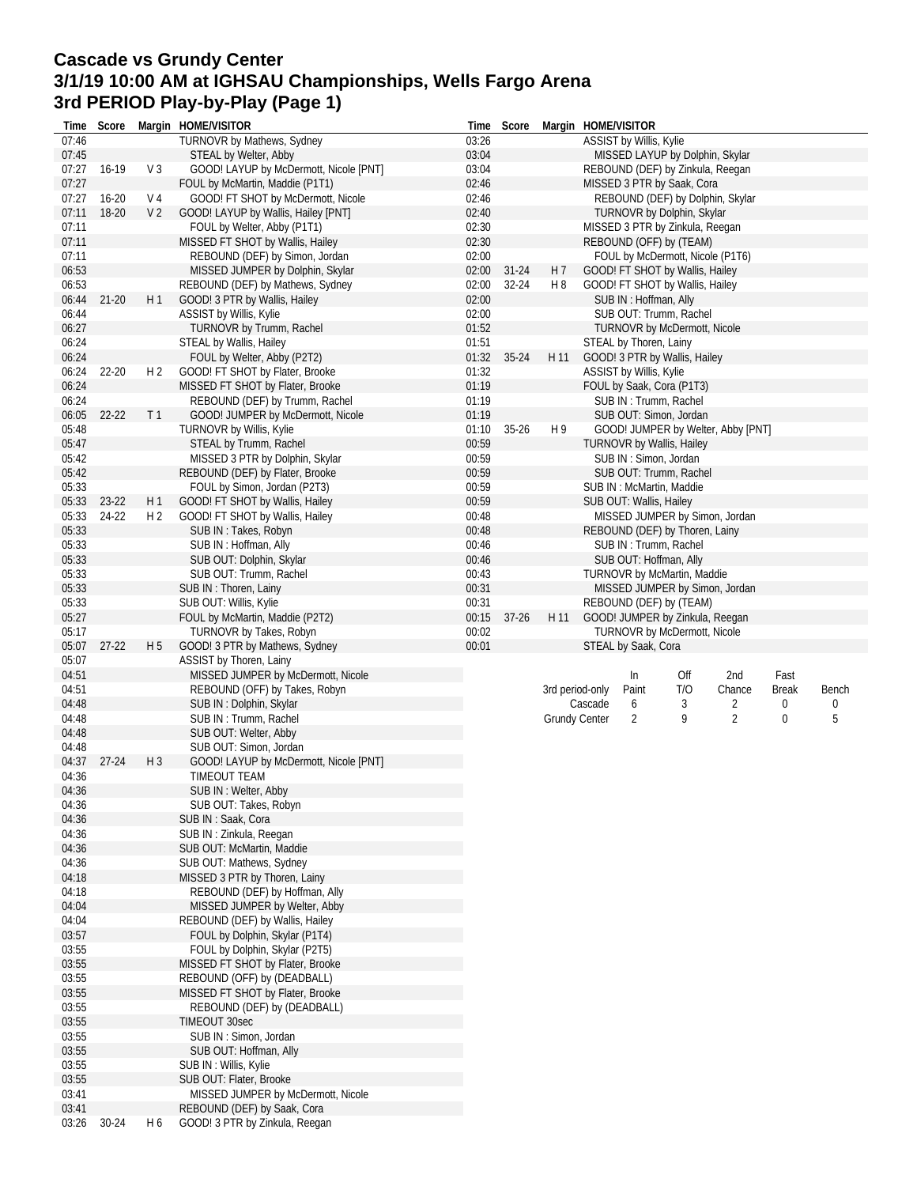## **Cascade vs Grundy Center 3/1/19 10:00 AM at IGHSAU Championships, Wells Fargo Arena 3rd PERIOD Play-by-Play (Page 1)**

|                | Time Score |                | Margin HOME/VISITOR                                                 |                | Time Score | Margin HOME/VISITOR  |                                  |                                                 |                              |                                    |              |       |
|----------------|------------|----------------|---------------------------------------------------------------------|----------------|------------|----------------------|----------------------------------|-------------------------------------------------|------------------------------|------------------------------------|--------------|-------|
| 07:46          |            |                | TURNOVR by Mathews, Sydney                                          | 03:26          |            |                      | ASSIST by Willis, Kylie          |                                                 |                              |                                    |              |       |
| 07:45          |            |                | STEAL by Welter, Abby                                               | 03:04          |            |                      |                                  |                                                 |                              | MISSED LAYUP by Dolphin, Skylar    |              |       |
| 07:27          | 16-19      | V <sub>3</sub> | GOOD! LAYUP by McDermott, Nicole [PNT]                              | 03:04          |            |                      |                                  |                                                 |                              | REBOUND (DEF) by Zinkula, Reegan   |              |       |
| 07:27          |            |                | FOUL by McMartin, Maddie (P1T1)                                     | 02:46          |            |                      | MISSED 3 PTR by Saak, Cora       |                                                 |                              |                                    |              |       |
| 07:27          | $16 - 20$  | V 4            | GOOD! FT SHOT by McDermott, Nicole                                  | 02:46          |            |                      |                                  |                                                 |                              | REBOUND (DEF) by Dolphin, Skylar   |              |       |
| 07:11          | 18-20      | V <sub>2</sub> | GOOD! LAYUP by Wallis, Hailey [PNT]                                 | 02:40          |            |                      |                                  |                                                 | TURNOVR by Dolphin, Skylar   |                                    |              |       |
| 07:11          |            |                | FOUL by Welter, Abby (P1T1)                                         | 02:30          |            |                      | MISSED 3 PTR by Zinkula, Reegan  |                                                 |                              |                                    |              |       |
| 07:11          |            |                | MISSED FT SHOT by Wallis, Hailey                                    | 02:30          |            |                      | REBOUND (OFF) by (TEAM)          |                                                 |                              |                                    |              |       |
| 07:11          |            |                | REBOUND (DEF) by Simon, Jordan                                      | 02:00          |            |                      |                                  |                                                 |                              | FOUL by McDermott, Nicole (P1T6)   |              |       |
| 06:53          |            |                | MISSED JUMPER by Dolphin, Skylar                                    | 02:00          | $31 - 24$  | H 7                  | GOOD! FT SHOT by Wallis, Hailey  |                                                 |                              |                                    |              |       |
| 06:53          |            |                | REBOUND (DEF) by Mathews, Sydney                                    | 02:00          | 32-24      | H 8                  | GOOD! FT SHOT by Wallis, Hailey  |                                                 |                              |                                    |              |       |
| 06:44          | $21 - 20$  | H1             | GOOD! 3 PTR by Wallis, Hailey                                       | 02:00          |            |                      |                                  | SUB IN: Hoffman, Ally                           |                              |                                    |              |       |
| 06:44          |            |                | ASSIST by Willis, Kylie                                             | 02:00          |            |                      |                                  |                                                 | SUB OUT: Trumm, Rachel       |                                    |              |       |
| 06:27          |            |                | TURNOVR by Trumm, Rachel                                            | 01:52          |            |                      |                                  |                                                 | TURNOVR by McDermott, Nicole |                                    |              |       |
| 06:24          |            |                | STEAL by Wallis, Hailey                                             | 01:51          |            |                      | STEAL by Thoren, Lainy           |                                                 |                              |                                    |              |       |
| 06:24          |            |                | FOUL by Welter, Abby (P2T2)                                         | 01:32          | $35 - 24$  | H 11                 | GOOD! 3 PTR by Wallis, Hailey    |                                                 |                              |                                    |              |       |
| 06:24          | 22-20      | H <sub>2</sub> | GOOD! FT SHOT by Flater, Brooke                                     | 01:32          |            |                      | ASSIST by Willis, Kylie          |                                                 |                              |                                    |              |       |
| 06:24          |            |                | MISSED FT SHOT by Flater, Brooke                                    | 01:19          |            |                      | FOUL by Saak, Cora (P1T3)        |                                                 |                              |                                    |              |       |
| 06:24<br>06:05 |            | T 1            | REBOUND (DEF) by Trumm, Rachel<br>GOOD! JUMPER by McDermott, Nicole | 01:19<br>01:19 |            |                      |                                  | SUB IN: Trumm, Rachel<br>SUB OUT: Simon, Jordan |                              |                                    |              |       |
| 05:48          | 22-22      |                | TURNOVR by Willis, Kylie                                            | 01:10          | $35 - 26$  | H 9                  |                                  |                                                 |                              | GOOD! JUMPER by Welter, Abby [PNT] |              |       |
| 05:47          |            |                | STEAL by Trumm, Rachel                                              | 00:59          |            |                      | <b>TURNOVR by Wallis, Hailey</b> |                                                 |                              |                                    |              |       |
| 05:42          |            |                | MISSED 3 PTR by Dolphin, Skylar                                     | 00:59          |            |                      |                                  | SUB IN: Simon, Jordan                           |                              |                                    |              |       |
| 05:42          |            |                | REBOUND (DEF) by Flater, Brooke                                     | 00:59          |            |                      |                                  |                                                 | SUB OUT: Trumm, Rachel       |                                    |              |       |
| 05:33          |            |                | FOUL by Simon, Jordan (P2T3)                                        | 00:59          |            |                      | SUB IN: McMartin, Maddie         |                                                 |                              |                                    |              |       |
| 05:33          | 23-22      | H1             | GOOD! FT SHOT by Wallis, Hailey                                     | 00:59          |            |                      | SUB OUT: Wallis, Hailey          |                                                 |                              |                                    |              |       |
| 05:33          | 24-22      | H <sub>2</sub> | GOOD! FT SHOT by Wallis, Hailey                                     | 00:48          |            |                      |                                  |                                                 |                              | MISSED JUMPER by Simon, Jordan     |              |       |
| 05:33          |            |                | SUB IN: Takes, Robyn                                                | 00:48          |            |                      | REBOUND (DEF) by Thoren, Lainy   |                                                 |                              |                                    |              |       |
| 05:33          |            |                | SUB IN: Hoffman, Ally                                               | 00:46          |            |                      |                                  | SUB IN: Trumm, Rachel                           |                              |                                    |              |       |
| 05:33          |            |                | SUB OUT: Dolphin, Skylar                                            | 00:46          |            |                      |                                  | SUB OUT: Hoffman, Ally                          |                              |                                    |              |       |
| 05:33          |            |                | SUB OUT: Trumm, Rachel                                              | 00:43          |            |                      | TURNOVR by McMartin, Maddie      |                                                 |                              |                                    |              |       |
| 05:33          |            |                | SUB IN: Thoren, Lainy                                               | 00:31          |            |                      |                                  |                                                 |                              | MISSED JUMPER by Simon, Jordan     |              |       |
| 05:33          |            |                | SUB OUT: Willis, Kylie                                              | 00:31          |            |                      | REBOUND (DEF) by (TEAM)          |                                                 |                              |                                    |              |       |
| 05:27          |            |                | FOUL by McMartin, Maddie (P2T2)                                     | 00:15          | $37-26$    | H 11                 |                                  |                                                 |                              | GOOD! JUMPER by Zinkula, Reegan    |              |       |
| 05:17          |            |                | TURNOVR by Takes, Robyn                                             | 00:02          |            |                      |                                  |                                                 | TURNOVR by McDermott, Nicole |                                    |              |       |
| 05:07          |            | H <sub>5</sub> | GOOD! 3 PTR by Mathews, Sydney                                      | 00:01          |            |                      | STEAL by Saak, Cora              |                                                 |                              |                                    |              |       |
|                | $27 - 22$  |                |                                                                     |                |            |                      |                                  |                                                 |                              |                                    |              |       |
| 05:07          |            |                | ASSIST by Thoren, Lainy                                             |                |            |                      |                                  |                                                 |                              |                                    |              |       |
| 04:51          |            |                | MISSED JUMPER by McDermott, Nicole                                  |                |            |                      |                                  | In                                              | Off                          | 2nd                                | Fast         |       |
| 04:51          |            |                | REBOUND (OFF) by Takes, Robyn                                       |                |            | 3rd period-only      |                                  | Paint                                           | T/O                          | Chance                             | <b>Break</b> | Bench |
| 04:48          |            |                | SUB IN: Dolphin, Skylar                                             |                |            |                      | Cascade                          | 6                                               | 3                            | 2                                  | 0            | 0     |
| 04:48          |            |                | SUB IN: Trumm, Rachel                                               |                |            | <b>Grundy Center</b> |                                  | 2                                               | 9                            | $\overline{2}$                     | 0            | 5     |
| 04:48          |            |                | SUB OUT: Welter, Abby                                               |                |            |                      |                                  |                                                 |                              |                                    |              |       |
| 04:48          |            |                | SUB OUT: Simon, Jordan                                              |                |            |                      |                                  |                                                 |                              |                                    |              |       |
| 04:37          | $27 - 24$  | $H_3$          | GOOD! LAYUP by McDermott, Nicole [PNT]                              |                |            |                      |                                  |                                                 |                              |                                    |              |       |
| 04:36          |            |                | TIMEOUT TEAM                                                        |                |            |                      |                                  |                                                 |                              |                                    |              |       |
| 04:36<br>04:36 |            |                | SUB IN: Welter, Abby<br>SUB OUT: Takes, Robyn                       |                |            |                      |                                  |                                                 |                              |                                    |              |       |
| 04:36          |            |                | SUB IN: Saak, Cora                                                  |                |            |                      |                                  |                                                 |                              |                                    |              |       |
| 04:36          |            |                | SUB IN: Zinkula, Reegan                                             |                |            |                      |                                  |                                                 |                              |                                    |              |       |
| 04:36          |            |                | SUB OUT: McMartin, Maddie                                           |                |            |                      |                                  |                                                 |                              |                                    |              |       |
| 04:36          |            |                | SUB OUT: Mathews, Sydney                                            |                |            |                      |                                  |                                                 |                              |                                    |              |       |
| 04:18          |            |                | MISSED 3 PTR by Thoren, Lainy                                       |                |            |                      |                                  |                                                 |                              |                                    |              |       |
| 04:18          |            |                | REBOUND (DEF) by Hoffman, Ally                                      |                |            |                      |                                  |                                                 |                              |                                    |              |       |
| 04:04          |            |                | MISSED JUMPER by Welter, Abby                                       |                |            |                      |                                  |                                                 |                              |                                    |              |       |
| 04:04          |            |                | REBOUND (DEF) by Wallis, Hailey                                     |                |            |                      |                                  |                                                 |                              |                                    |              |       |
| 03:57          |            |                | FOUL by Dolphin, Skylar (P1T4)                                      |                |            |                      |                                  |                                                 |                              |                                    |              |       |
| 03:55          |            |                | FOUL by Dolphin, Skylar (P2T5)                                      |                |            |                      |                                  |                                                 |                              |                                    |              |       |
| 03:55          |            |                | MISSED FT SHOT by Flater, Brooke                                    |                |            |                      |                                  |                                                 |                              |                                    |              |       |
| 03:55          |            |                | REBOUND (OFF) by (DEADBALL)                                         |                |            |                      |                                  |                                                 |                              |                                    |              |       |
| 03:55          |            |                | MISSED FT SHOT by Flater, Brooke                                    |                |            |                      |                                  |                                                 |                              |                                    |              |       |
| 03:55          |            |                | REBOUND (DEF) by (DEADBALL)                                         |                |            |                      |                                  |                                                 |                              |                                    |              |       |
| 03:55          |            |                | TIMEOUT 30sec<br>SUB IN: Simon, Jordan                              |                |            |                      |                                  |                                                 |                              |                                    |              |       |
| 03:55<br>03:55 |            |                | SUB OUT: Hoffman, Ally                                              |                |            |                      |                                  |                                                 |                              |                                    |              |       |
| 03:55          |            |                | SUB IN: Willis, Kylie                                               |                |            |                      |                                  |                                                 |                              |                                    |              |       |
| 03:55          |            |                | SUB OUT: Flater, Brooke                                             |                |            |                      |                                  |                                                 |                              |                                    |              |       |
| 03:41          |            |                | MISSED JUMPER by McDermott, Nicole                                  |                |            |                      |                                  |                                                 |                              |                                    |              |       |
| 03:41<br>03:26 | 30-24      | H 6            | REBOUND (DEF) by Saak, Cora<br>GOOD! 3 PTR by Zinkula, Reegan       |                |            |                      |                                  |                                                 |                              |                                    |              |       |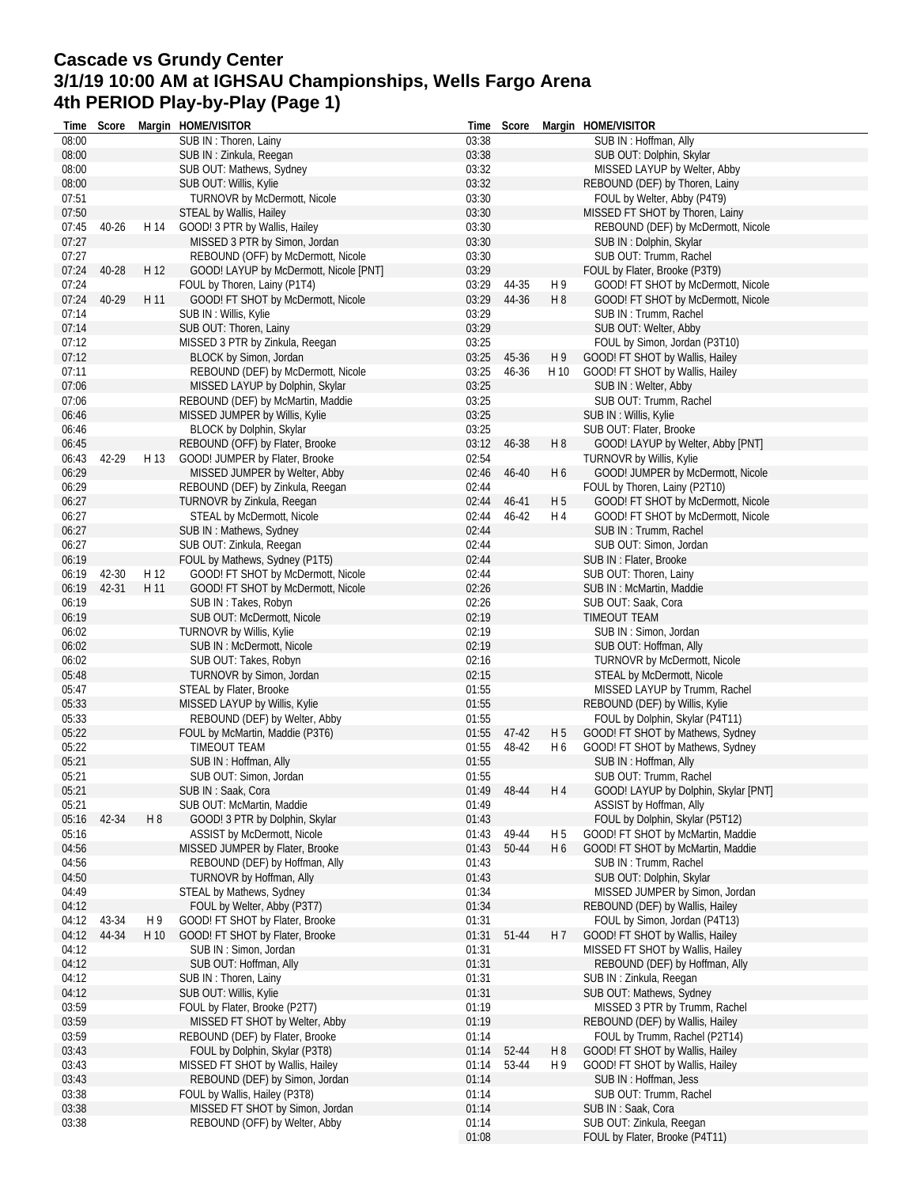# **Cascade vs Grundy Center 3/1/19 10:00 AM at IGHSAU Championships, Wells Fargo Arena 4th PERIOD Play-by-Play (Page 1)**

| Time           | Score |      | Margin HOME/VISITOR                                     |                | Time Score  |                | Margin HOME/VISITOR                                       |
|----------------|-------|------|---------------------------------------------------------|----------------|-------------|----------------|-----------------------------------------------------------|
| 08:00          |       |      | SUB IN: Thoren, Lainy                                   | 03:38          |             |                | SUB IN: Hoffman, Ally                                     |
| 08:00          |       |      | SUB IN: Zinkula, Reegan                                 | 03:38          |             |                | SUB OUT: Dolphin, Skylar                                  |
| 08:00          |       |      | SUB OUT: Mathews, Sydney                                | 03:32          |             |                | MISSED LAYUP by Welter, Abby                              |
| 08:00          |       |      | SUB OUT: Willis, Kylie                                  | 03:32          |             |                | REBOUND (DEF) by Thoren, Lainy                            |
| 07:51          |       |      | <b>TURNOVR by McDermott, Nicole</b>                     | 03:30          |             |                | FOUL by Welter, Abby (P4T9)                               |
| 07:50          |       |      | STEAL by Wallis, Hailey                                 | 03:30          |             |                | MISSED FT SHOT by Thoren, Lainy                           |
| 07:45          | 40-26 | H 14 | GOOD! 3 PTR by Wallis, Hailey                           | 03:30          |             |                | REBOUND (DEF) by McDermott, Nicole                        |
| 07:27          |       |      | MISSED 3 PTR by Simon, Jordan                           | 03:30          |             |                | SUB IN: Dolphin, Skylar                                   |
| 07:27          |       |      | REBOUND (OFF) by McDermott, Nicole                      | 03:30          |             |                | SUB OUT: Trumm, Rachel                                    |
| 07:24          | 40-28 | H 12 | GOOD! LAYUP by McDermott, Nicole [PNT]                  | 03:29          |             |                | FOUL by Flater, Brooke (P3T9)                             |
| 07:24          |       |      | FOUL by Thoren, Lainy (P1T4)                            | 03:29          | 44-35       | H 9            | GOOD! FT SHOT by McDermott, Nicole                        |
| 07:24          | 40-29 | H 11 | GOOD! FT SHOT by McDermott, Nicole                      | 03:29          | 44-36       | H <sub>8</sub> | GOOD! FT SHOT by McDermott, Nicole                        |
| 07:14          |       |      | SUB IN: Willis, Kylie                                   | 03:29          |             |                | SUB IN: Trumm, Rachel                                     |
| 07:14          |       |      | SUB OUT: Thoren, Lainy                                  | 03:29          |             |                | SUB OUT: Welter, Abby                                     |
| 07:12          |       |      | MISSED 3 PTR by Zinkula, Reegan                         | 03:25          |             |                | FOUL by Simon, Jordan (P3T10)                             |
| 07:12          |       |      | BLOCK by Simon, Jordan                                  | 03:25          | 45-36       | H 9            | GOOD! FT SHOT by Wallis, Hailey                           |
| 07:11          |       |      | REBOUND (DEF) by McDermott, Nicole                      | 03:25          | 46-36       | H 10           | GOOD! FT SHOT by Wallis, Hailey                           |
| 07:06          |       |      | MISSED LAYUP by Dolphin, Skylar                         | 03:25          |             |                | SUB IN: Welter, Abby                                      |
| 07:06          |       |      | REBOUND (DEF) by McMartin, Maddie                       | 03:25          |             |                | SUB OUT: Trumm, Rachel                                    |
| 06:46          |       |      | MISSED JUMPER by Willis, Kylie                          | 03:25          |             |                | SUB IN: Willis, Kylie                                     |
| 06:46          |       |      | BLOCK by Dolphin, Skylar                                | 03:25          |             |                | SUB OUT: Flater, Brooke                                   |
| 06:45          |       |      | REBOUND (OFF) by Flater, Brooke                         |                | 03:12 46-38 | H <sub>8</sub> | GOOD! LAYUP by Welter, Abby [PNT]                         |
| 06:43          | 42-29 | H 13 | GOOD! JUMPER by Flater, Brooke                          | 02:54          |             |                | <b>TURNOVR by Willis, Kylie</b>                           |
| 06:29          |       |      | MISSED JUMPER by Welter, Abby                           | 02:46          | 46-40       | H <sub>6</sub> | GOOD! JUMPER by McDermott, Nicole                         |
| 06:29          |       |      | REBOUND (DEF) by Zinkula, Reegan                        | 02:44          |             |                | FOUL by Thoren, Lainy (P2T10)                             |
| 06:27          |       |      | TURNOVR by Zinkula, Reegan                              | 02:44          | 46-41       | H <sub>5</sub> |                                                           |
|                |       |      |                                                         |                |             |                | GOOD! FT SHOT by McDermott, Nicole                        |
| 06:27          |       |      | STEAL by McDermott, Nicole                              | 02:44          | 46-42       | H 4            | GOOD! FT SHOT by McDermott, Nicole                        |
| 06:27          |       |      | SUB IN: Mathews, Sydney                                 | 02:44          |             |                | SUB IN: Trumm, Rachel                                     |
| 06:27          |       |      | SUB OUT: Zinkula, Reegan                                | 02:44          |             |                | SUB OUT: Simon, Jordan                                    |
| 06:19          |       |      | FOUL by Mathews, Sydney (P1T5)                          | 02:44          |             |                | SUB IN : Flater, Brooke                                   |
| 06:19          | 42-30 | H 12 | GOOD! FT SHOT by McDermott, Nicole                      | 02:44          |             |                | SUB OUT: Thoren, Lainy                                    |
| 06:19          | 42-31 | H 11 | GOOD! FT SHOT by McDermott, Nicole                      | 02:26          |             |                | SUB IN: McMartin, Maddie                                  |
| 06:19          |       |      | SUB IN: Takes, Robyn                                    | 02:26          |             |                | SUB OUT: Saak, Cora                                       |
| 06:19          |       |      | SUB OUT: McDermott, Nicole                              | 02:19          |             |                | TIMEOUT TEAM                                              |
| 06:02          |       |      | TURNOVR by Willis, Kylie                                | 02:19          |             |                | SUB IN: Simon, Jordan                                     |
| 06:02          |       |      | SUB IN: McDermott, Nicole                               | 02:19          |             |                | SUB OUT: Hoffman, Ally                                    |
| 06:02          |       |      | SUB OUT: Takes, Robyn                                   | 02:16          |             |                | TURNOVR by McDermott, Nicole                              |
| 05:48          |       |      | TURNOVR by Simon, Jordan                                | 02:15          |             |                | STEAL by McDermott, Nicole                                |
| 05:47          |       |      | STEAL by Flater, Brooke                                 | 01:55          |             |                | MISSED LAYUP by Trumm, Rachel                             |
| 05:33          |       |      | MISSED LAYUP by Willis, Kylie                           | 01:55          |             |                | REBOUND (DEF) by Willis, Kylie                            |
| 05:33          |       |      | REBOUND (DEF) by Welter, Abby                           | 01:55          |             |                | FOUL by Dolphin, Skylar (P4T11)                           |
| 05:22          |       |      | FOUL by McMartin, Maddie (P3T6)                         | 01:55          | $47 - 42$   | H 5            | GOOD! FT SHOT by Mathews, Sydney                          |
| 05:22          |       |      | TIMEOUT TEAM                                            | 01:55          | 48-42       | H 6            | GOOD! FT SHOT by Mathews, Sydney                          |
| 05:21          |       |      | SUB IN: Hoffman, Ally                                   | 01:55          |             |                | SUB IN: Hoffman, Ally                                     |
| 05:21          |       |      | SUB OUT: Simon, Jordan                                  | 01:55          |             |                | SUB OUT: Trumm, Rachel                                    |
| 05:21          |       |      | SUB IN: Saak, Cora                                      |                | 01:49 48-44 | H 4            | GOOD! LAYUP by Dolphin, Skylar [PNT]                      |
| 05:21          |       |      | SUB OUT: McMartin, Maddie                               | 01:49          |             |                | ASSIST by Hoffman, Ally                                   |
| 05:16          | 42-34 | H 8  | GOOD! 3 PTR by Dolphin, Skylar                          | 01:43          |             |                | FOUL by Dolphin, Skylar (P5T12)                           |
| 05:16          |       |      | ASSIST by McDermott, Nicole                             | 01:43          | 49-44       | H <sub>5</sub> | GOOD! FT SHOT by McMartin, Maddie                         |
| 04:56          |       |      | MISSED JUMPER by Flater, Brooke                         | 01:43          | 50-44       | H <sub>6</sub> | GOOD! FT SHOT by McMartin, Maddie                         |
| 04:56          |       |      | REBOUND (DEF) by Hoffman, Ally                          | 01:43          |             |                | SUB IN: Trumm, Rachel                                     |
| 04:50          |       |      | TURNOVR by Hoffman, Ally                                | 01:43          |             |                | SUB OUT: Dolphin, Skylar                                  |
| 04:49          |       |      | STEAL by Mathews, Sydney                                | 01:34          |             |                | MISSED JUMPER by Simon, Jordan                            |
| 04:12          |       |      | FOUL by Welter, Abby (P3T7)                             | 01:34          |             |                | REBOUND (DEF) by Wallis, Hailey                           |
| 04:12          | 43-34 | H 9  | GOOD! FT SHOT by Flater, Brooke                         | 01:31          |             |                | FOUL by Simon, Jordan (P4T13)                             |
| 04:12          | 44-34 | H 10 | GOOD! FT SHOT by Flater, Brooke                         | 01:31          | 51-44       | H 7            | GOOD! FT SHOT by Wallis, Hailey                           |
| 04:12          |       |      | SUB IN: Simon, Jordan                                   | 01:31          |             |                | MISSED FT SHOT by Wallis, Hailey                          |
| 04:12          |       |      | SUB OUT: Hoffman, Ally                                  | 01:31          |             |                | REBOUND (DEF) by Hoffman, Ally                            |
| 04:12          |       |      | SUB IN: Thoren, Lainy                                   | 01:31          |             |                | SUB IN: Zinkula, Reegan                                   |
|                |       |      |                                                         |                |             |                |                                                           |
| 04:12<br>03:59 |       |      | SUB OUT: Willis, Kylie<br>FOUL by Flater, Brooke (P2T7) | 01:31<br>01:19 |             |                | SUB OUT: Mathews, Sydney<br>MISSED 3 PTR by Trumm, Rachel |
|                |       |      |                                                         |                |             |                |                                                           |
| 03:59          |       |      | MISSED FT SHOT by Welter, Abby                          | 01:19          |             |                | REBOUND (DEF) by Wallis, Hailey                           |
| 03:59          |       |      | REBOUND (DEF) by Flater, Brooke                         | 01:14          |             |                | FOUL by Trumm, Rachel (P2T14)                             |
| 03:43          |       |      | FOUL by Dolphin, Skylar (P3T8)                          | 01:14          | 52-44       | $H_8$          | GOOD! FT SHOT by Wallis, Hailey                           |
| 03:43          |       |      | MISSED FT SHOT by Wallis, Hailey                        | 01:14          | 53-44       | H 9            | GOOD! FT SHOT by Wallis, Hailey                           |
| 03:43          |       |      | REBOUND (DEF) by Simon, Jordan                          | 01:14          |             |                | SUB IN: Hoffman, Jess                                     |
| 03:38          |       |      | FOUL by Wallis, Hailey (P3T8)                           | 01:14          |             |                | SUB OUT: Trumm, Rachel                                    |
| 03:38          |       |      | MISSED FT SHOT by Simon, Jordan                         | 01:14          |             |                | SUB IN: Saak, Cora                                        |
| 03:38          |       |      | REBOUND (OFF) by Welter, Abby                           | 01:14          |             |                | SUB OUT: Zinkula, Reegan                                  |
|                |       |      |                                                         | 01:08          |             |                | FOUL by Flater, Brooke (P4T11)                            |